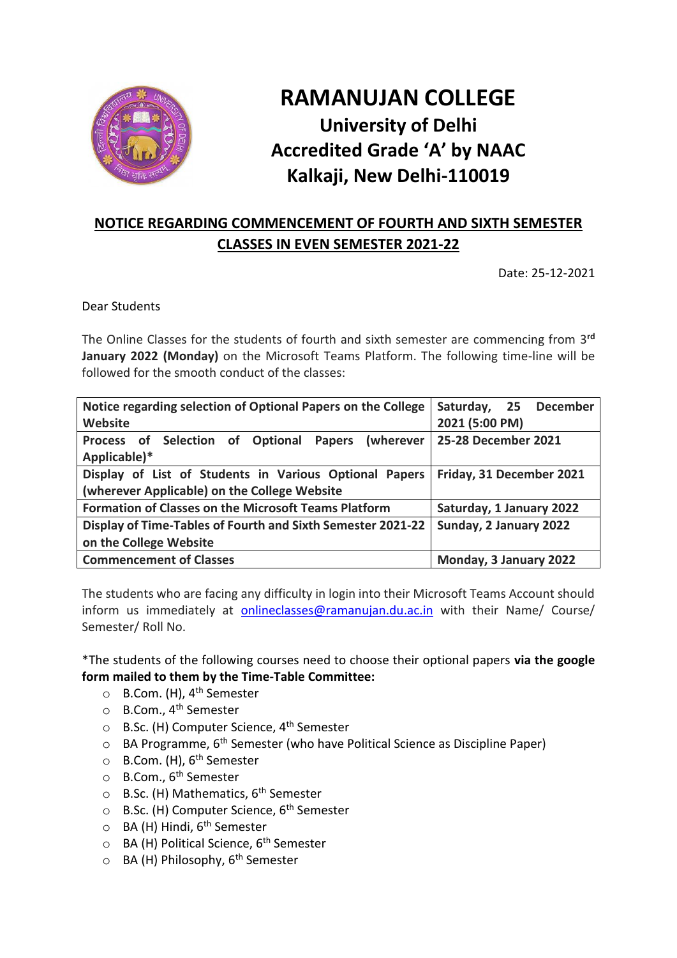

## **RAMANUJAN COLLEGE University of Delhi Accredited Grade 'A' by NAAC Kalkaji, New Delhi-110019**

## **NOTICE REGARDING COMMENCEMENT OF FOURTH AND SIXTH SEMESTER CLASSES IN EVEN SEMESTER 2021-22**

Date: 25-12-2021

Dear Students

The Online Classes for the students of fourth and sixth semester are commencing from 3<sup>rd</sup> **January 2022 (Monday)** on the Microsoft Teams Platform. The following time-line will be followed for the smooth conduct of the classes:

| Notice regarding selection of Optional Papers on the College   | Saturday, 25 December    |
|----------------------------------------------------------------|--------------------------|
| Website                                                        | 2021 (5:00 PM)           |
| Process of Selection of Optional<br><b>Papers</b><br>(wherever | 25-28 December 2021      |
| Applicable)*                                                   |                          |
| Display of List of Students in Various Optional Papers         | Friday, 31 December 2021 |
| (wherever Applicable) on the College Website                   |                          |
| <b>Formation of Classes on the Microsoft Teams Platform</b>    | Saturday, 1 January 2022 |
| Display of Time-Tables of Fourth and Sixth Semester 2021-22    | Sunday, 2 January 2022   |
| on the College Website                                         |                          |
| <b>Commencement of Classes</b>                                 | Monday, 3 January 2022   |

The students who are facing any difficulty in login into their Microsoft Teams Account should inform us immediately at [onlineclasses@ramanujan.du.ac.in](mailto:onlineclasses@ramanujan.du.ac.in) with their Name/ Course/ Semester/ Roll No.

\*The students of the following courses need to choose their optional papers **via the google form mailed to them by the Time-Table Committee:**

- o B.Com. (H), 4th Semester
- o B.Com., 4th Semester
- o B.Sc. (H) Computer Science, 4th Semester
- $\circ$  BA Programme, 6<sup>th</sup> Semester (who have Political Science as Discipline Paper)
- $\circ$  B.Com. (H), 6<sup>th</sup> Semester
- o B.Com., 6th Semester
- $\circ$  B.Sc. (H) Mathematics, 6<sup>th</sup> Semester
- $\circ$  B.Sc. (H) Computer Science, 6<sup>th</sup> Semester
- $\circ$  BA (H) Hindi, 6<sup>th</sup> Semester
- o BA (H) Political Science, 6<sup>th</sup> Semester
- $\circ$  BA (H) Philosophy, 6<sup>th</sup> Semester